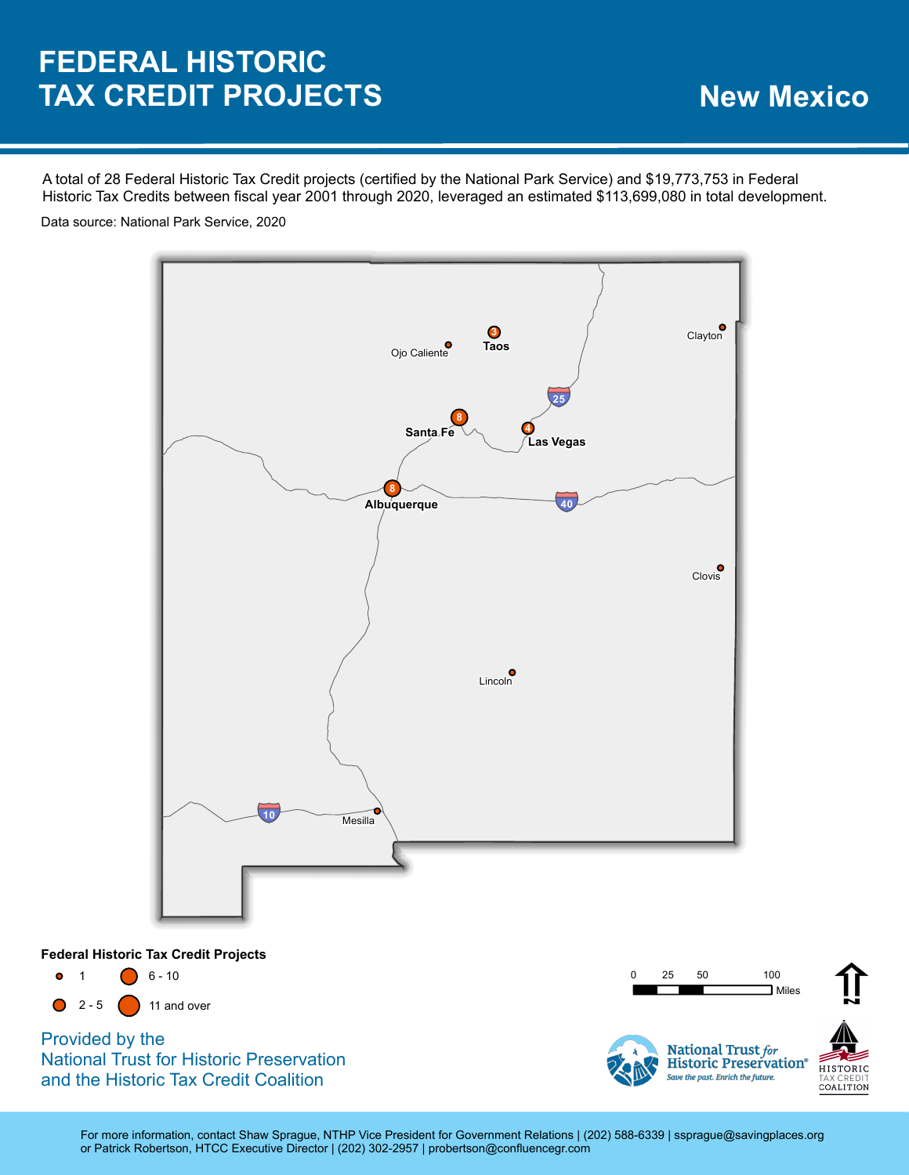## **FEDERAL HISTORIC TAX CREDIT PROJECTS New Mexico**

A total of 28 Federal Historic Tax Credit projects (certified by the National Park Service) and \$19,773,753 in Federal Historic Tax Credits between fiscal year 2001 through 2020, leveraged an estimated \$113,699,080 in total development.

Data source: National Park Service, 2020



**Federal Historic Tax Credit Projects**

6 - 10  $\bullet$ 1  $\bullet$ 2 - 5 11 and over

Provided by the National Trust for Historic Preservation and the Historic Tax Credit Coalition